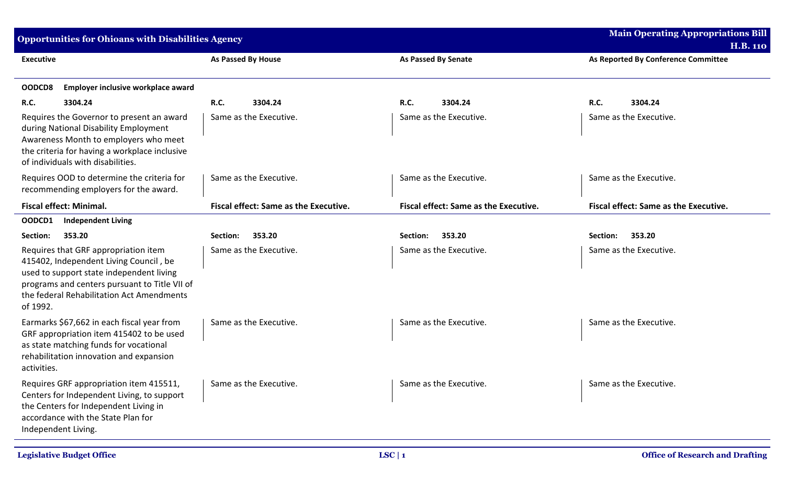| Opportunities for Ohioans with Disabilities Agency                                                                                                                                                                                   |                                              |                                              | <b>Main Operating Appropriations Bill</b>              |
|--------------------------------------------------------------------------------------------------------------------------------------------------------------------------------------------------------------------------------------|----------------------------------------------|----------------------------------------------|--------------------------------------------------------|
| <b>Executive</b>                                                                                                                                                                                                                     | As Passed By House                           | <b>As Passed By Senate</b>                   | <b>H.B. 110</b><br>As Reported By Conference Committee |
| Employer inclusive workplace award<br>OODCD8                                                                                                                                                                                         |                                              |                                              |                                                        |
| R.C.<br>3304.24                                                                                                                                                                                                                      | R.C.<br>3304.24                              | <b>R.C.</b><br>3304.24                       | R.C.<br>3304.24                                        |
| Requires the Governor to present an award<br>during National Disability Employment<br>Awareness Month to employers who meet<br>the criteria for having a workplace inclusive<br>of individuals with disabilities.                    | Same as the Executive.                       | Same as the Executive.                       | Same as the Executive.                                 |
| Requires OOD to determine the criteria for<br>recommending employers for the award.                                                                                                                                                  | Same as the Executive.                       | Same as the Executive.                       | Same as the Executive.                                 |
| <b>Fiscal effect: Minimal.</b>                                                                                                                                                                                                       | <b>Fiscal effect: Same as the Executive.</b> | <b>Fiscal effect: Same as the Executive.</b> | <b>Fiscal effect: Same as the Executive.</b>           |
| OODCD1<br><b>Independent Living</b>                                                                                                                                                                                                  |                                              |                                              |                                                        |
| 353.20<br>Section:                                                                                                                                                                                                                   | 353.20<br>Section:                           | 353.20<br>Section:                           | 353.20<br>Section:                                     |
| Requires that GRF appropriation item<br>415402, Independent Living Council, be<br>used to support state independent living<br>programs and centers pursuant to Title VII of<br>the federal Rehabilitation Act Amendments<br>of 1992. | Same as the Executive.                       | Same as the Executive.                       | Same as the Executive.                                 |
| Earmarks \$67,662 in each fiscal year from<br>GRF appropriation item 415402 to be used<br>as state matching funds for vocational<br>rehabilitation innovation and expansion<br>activities.                                           | Same as the Executive.                       | Same as the Executive.                       | Same as the Executive.                                 |
| Requires GRF appropriation item 415511,<br>Centers for Independent Living, to support<br>the Centers for Independent Living in<br>accordance with the State Plan for<br>Independent Living.                                          | Same as the Executive.                       | Same as the Executive.                       | Same as the Executive.                                 |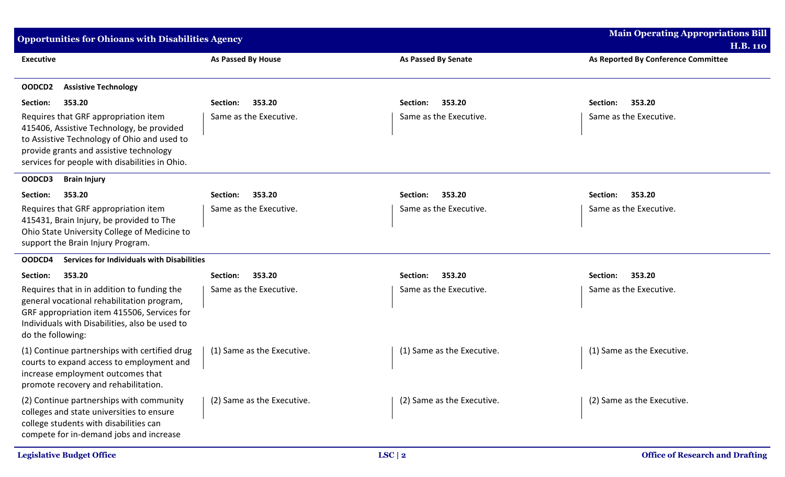| <b>Opportunities for Ohioans with Disabilities Agency</b>                                                                                                                                                                     |                            |                            | <b>Main Operating Appropriations Bill</b><br><b>H.B. 110</b> |
|-------------------------------------------------------------------------------------------------------------------------------------------------------------------------------------------------------------------------------|----------------------------|----------------------------|--------------------------------------------------------------|
| <b>Executive</b>                                                                                                                                                                                                              | As Passed By House         | <b>As Passed By Senate</b> | As Reported By Conference Committee                          |
| OODCD2<br><b>Assistive Technology</b>                                                                                                                                                                                         |                            |                            |                                                              |
| Section:<br>353.20                                                                                                                                                                                                            | 353.20<br>Section:         | 353.20<br>Section:         | Section:<br>353.20                                           |
| Requires that GRF appropriation item<br>415406, Assistive Technology, be provided<br>to Assistive Technology of Ohio and used to<br>provide grants and assistive technology<br>services for people with disabilities in Ohio. | Same as the Executive.     | Same as the Executive.     | Same as the Executive.                                       |
| OODCD3<br><b>Brain Injury</b>                                                                                                                                                                                                 |                            |                            |                                                              |
| 353.20<br>Section:                                                                                                                                                                                                            | 353.20<br>Section:         | 353.20<br>Section:         | 353.20<br>Section:                                           |
| Requires that GRF appropriation item<br>415431, Brain Injury, be provided to The<br>Ohio State University College of Medicine to<br>support the Brain Injury Program.                                                         | Same as the Executive.     | Same as the Executive.     | Same as the Executive.                                       |
| Services for Individuals with Disabilities<br>OODCD4                                                                                                                                                                          |                            |                            |                                                              |
| 353.20<br>Section:                                                                                                                                                                                                            | 353.20<br>Section:         | 353.20<br>Section:         | 353.20<br>Section:                                           |
| Requires that in in addition to funding the<br>general vocational rehabilitation program,<br>GRF appropriation item 415506, Services for<br>Individuals with Disabilities, also be used to<br>do the following:               | Same as the Executive.     | Same as the Executive.     | Same as the Executive.                                       |
| (1) Continue partnerships with certified drug<br>courts to expand access to employment and<br>increase employment outcomes that<br>promote recovery and rehabilitation.                                                       | (1) Same as the Executive. | (1) Same as the Executive. | (1) Same as the Executive.                                   |
| (2) Continue partnerships with community<br>colleges and state universities to ensure<br>college students with disabilities can<br>compete for in-demand jobs and increase                                                    | (2) Same as the Executive. | (2) Same as the Executive. | (2) Same as the Executive.                                   |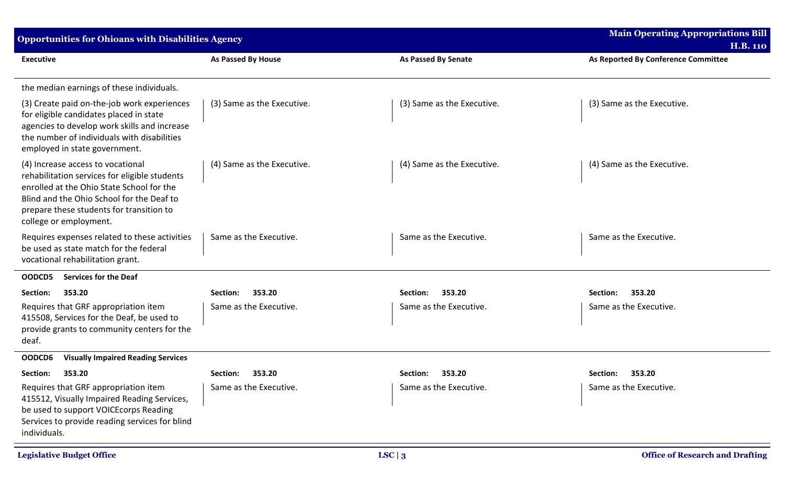| <b>Opportunities for Ohioans with Disabilities Agency</b>                                                                                                                                                                                          |                            |                            | <b>Main Operating Appropriations Bill</b><br><b>H.B. 110</b> |
|----------------------------------------------------------------------------------------------------------------------------------------------------------------------------------------------------------------------------------------------------|----------------------------|----------------------------|--------------------------------------------------------------|
| <b>Executive</b>                                                                                                                                                                                                                                   | As Passed By House         | <b>As Passed By Senate</b> | As Reported By Conference Committee                          |
| the median earnings of these individuals.                                                                                                                                                                                                          |                            |                            |                                                              |
| (3) Create paid on-the-job work experiences<br>for eligible candidates placed in state<br>agencies to develop work skills and increase<br>the number of individuals with disabilities<br>employed in state government.                             | (3) Same as the Executive. | (3) Same as the Executive. | (3) Same as the Executive.                                   |
| (4) Increase access to vocational<br>rehabilitation services for eligible students<br>enrolled at the Ohio State School for the<br>Blind and the Ohio School for the Deaf to<br>prepare these students for transition to<br>college or employment. | (4) Same as the Executive. | (4) Same as the Executive. | (4) Same as the Executive.                                   |
| Requires expenses related to these activities<br>be used as state match for the federal<br>vocational rehabilitation grant.                                                                                                                        | Same as the Executive.     | Same as the Executive.     | Same as the Executive.                                       |
| <b>Services for the Deaf</b><br>OODCD5                                                                                                                                                                                                             |                            |                            |                                                              |
| 353.20<br>Section:                                                                                                                                                                                                                                 | 353.20<br>Section:         | 353.20<br>Section:         | 353.20<br>Section:                                           |
| Requires that GRF appropriation item<br>415508, Services for the Deaf, be used to<br>provide grants to community centers for the<br>deaf.                                                                                                          | Same as the Executive.     | Same as the Executive.     | Same as the Executive.                                       |
| OODCD6<br><b>Visually Impaired Reading Services</b>                                                                                                                                                                                                |                            |                            |                                                              |
| 353.20<br>Section:                                                                                                                                                                                                                                 | Section:<br>353.20         | 353.20<br>Section:         | 353.20<br>Section:                                           |
| Requires that GRF appropriation item<br>415512, Visually Impaired Reading Services,<br>be used to support VOICE corps Reading<br>Services to provide reading services for blind<br>individuals.                                                    | Same as the Executive.     | Same as the Executive.     | Same as the Executive.                                       |